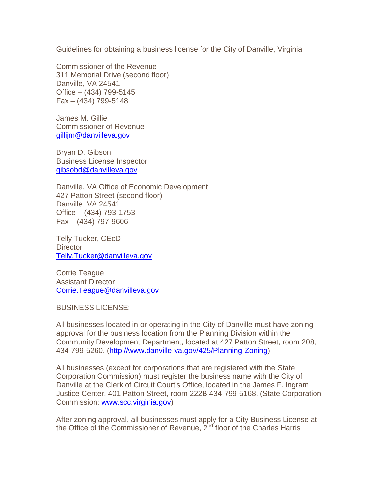Guidelines for obtaining a business license for the City of Danville, Virginia

Commissioner of the Revenue 311 Memorial Drive (second floor) Danville, VA 24541 Office – (434) 799-5145 Fax – (434) 799-5148

James M. Gillie Commissioner of Revenue [gillijm@danvilleva.gov](mailto:gillijm@danvilleva.gov)

Bryan D. Gibson Business License Inspector [gibsobd@danvilleva.gov](mailto:gibsobd@danvilleva.gov)

Danville, VA Office of Economic Development 427 Patton Street (second floor) Danville, VA 24541 Office – (434) 793-1753 Fax – (434) 797-9606

Telly Tucker, CEcD **Director** [Telly.Tucker@danvilleva.gov](mailto:Telly.Tucker@danvilleva.gov)

Corrie Teague Assistant Director [Corrie.Teague@danvilleva.gov](mailto:Corrie.Teague@danvilleva.gov)

BUSINESS LICENSE:

All businesses located in or operating in the City of Danville must have zoning approval for the business location from the Planning Division within the Community Development Department, located at 427 Patton Street, room 208, 434-799-5260. [\(http://www.danville-va.gov/425/Planning-Zoning\)](http://www.danville-va.gov/425/Planning-Zoning)

All businesses (except for corporations that are registered with the State Corporation Commission) must register the business name with the City of Danville at the Clerk of Circuit Court's Office, located in the James F. Ingram Justice Center, 401 Patton Street, room 222B 434-799-5168. (State Corporation Commission: [www.scc.virginia.gov\)](http://www.scc.virginia.gov/)

After zoning approval, all businesses must apply for a City Business License at the Office of the Commissioner of Revenue,  $2^{nd}$  floor of the Charles Harris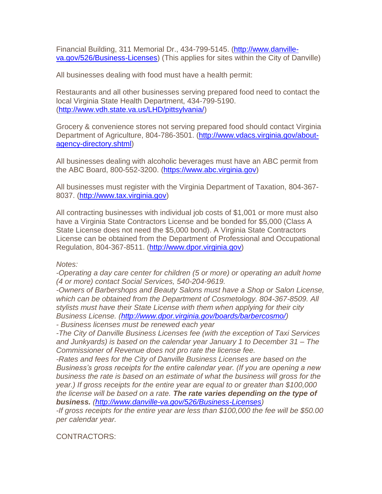Financial Building, 311 Memorial Dr., 434-799-5145. [\(http://www.danville](http://www.danville-va.gov/526/Business-Licenses)[va.gov/526/Business-Licenses\)](http://www.danville-va.gov/526/Business-Licenses) (This applies for sites within the City of Danville)

All businesses dealing with food must have a health permit:

Restaurants and all other businesses serving prepared food need to contact the local Virginia State Health Department, 434-799-5190. [\(http://www.vdh.state.va.us/LHD/pittsylvania/\)](http://www.vdh.state.va.us/LHD/pittsylvania/)

Grocery & convenience stores not serving prepared food should contact Virginia Department of Agriculture, 804-786-3501. [\(http://www.vdacs.virginia.gov/about](http://www.vdacs.virginia.gov/about-agency-directory.shtml)[agency-directory.shtml\)](http://www.vdacs.virginia.gov/about-agency-directory.shtml)

All businesses dealing with alcoholic beverages must have an ABC permit from the ABC Board, 800-552-3200. [\(https://www.abc.virginia.gov\)](https://www.abc.virginia.gov/)

All businesses must register with the Virginia Department of Taxation, 804-367- 8037. [\(http://www.tax.virginia.gov\)](http://www.tax.virginia.gov/)

All contracting businesses with individual job costs of \$1,001 or more must also have a Virginia State Contractors License and be bonded for \$5,000 (Class A State License does not need the \$5,000 bond). A Virginia State Contractors License can be obtained from the Department of Professional and Occupational Regulation, 804-367-8511. [\(http://www.dpor.virginia.gov\)](http://www.dpor.virginia.gov/)

*Notes:* 

*-Operating a day care center for children (5 or more) or operating an adult home (4 or more) contact Social Services, 540-204-9619.*

*-Owners of Barbershops and Beauty Salons must have a Shop or Salon License, which can be obtained from the Department of Cosmetology. 804-367-8509. All stylists must have their State License with them when applying for their city Business License. [\(http://www.dpor.virginia.gov/boards/barbercosmo/\)](http://www.dpor.virginia.gov/boards/barbercosmo/)*

*- Business licenses must be renewed each year*

*-The City of Danville Business Licenses fee (with the exception of Taxi Services and Junkyards) is based on the calendar year January 1 to December 31 – The Commissioner of Revenue does not pro rate the license fee.*

*-Rates and fees for the City of Danville Business Licenses are based on the Business's gross receipts for the entire calendar year. (If you are opening a new business the rate is based on an estimate of what the business will gross for the year.) If gross receipts for the entire year are equal to or greater than \$100,000 the license will be based on a rate. The rate varies depending on the type of business. [\(http://www.danville-va.gov/526/Business-Licenses\)](http://www.danville-va.gov/526/Business-Licenses)*

*-If gross receipts for the entire year are less than \$100,000 the fee will be \$50.00 per calendar year.*

CONTRACTORS: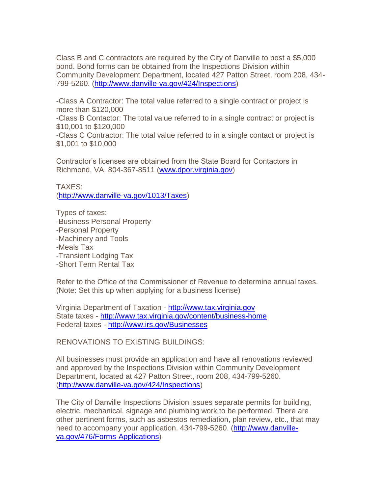Class B and C contractors are required by the City of Danville to post a \$5,000 bond. Bond forms can be obtained from the Inspections Division within Community Development Department, located 427 Patton Street, room 208, 434- 799-5260. [\(http://www.danville-va.gov/424/Inspections\)](http://www.danville-va.gov/424/Inspections)

-Class A Contractor: The total value referred to a single contract or project is more than \$120,000

-Class B Contactor: The total value referred to in a single contract or project is \$10,001 to \$120,000

-Class C Contractor: The total value referred to in a single contact or project is \$1,001 to \$10,000

Contractor's licenses are obtained from the State Board for Contactors in Richmond, VA. 804-367-8511 [\(www.dpor.virginia.gov\)](http://www.dpor.virginia.gov/)

TAXES: [\(http://www.danville-va.gov/1013/Taxes\)](http://www.danville-va.gov/1013/Taxes)

Types of taxes: -Business Personal Property -Personal Property -Machinery and Tools -Meals Tax -Transient Lodging Tax -Short Term Rental Tax

Refer to the Office of the Commissioner of Revenue to determine annual taxes. (Note: Set this up when applying for a business license)

Virginia Department of Taxation - [http://www.tax.virginia.gov](http://www.tax.virginia.gov/) State taxes - <http://www.tax.virginia.gov/content/business-home> Federal taxes - <http://www.irs.gov/Businesses>

RENOVATIONS TO EXISTING BUILDINGS:

All businesses must provide an application and have all renovations reviewed and approved by the Inspections Division within Community Development Department, located at 427 Patton Street, room 208, 434-799-5260. [\(http://www.danville-va.gov/424/Inspections\)](http://www.danville-va.gov/424/Inspections)

The City of Danville Inspections Division issues separate permits for building, electric, mechanical, signage and plumbing work to be performed. There are other pertinent forms, such as asbestos remediation, plan review, etc., that may need to accompany your application. 434-799-5260. [\(http://www.danville](http://www.danville-va.gov/476/Forms-Applications)[va.gov/476/Forms-Applications\)](http://www.danville-va.gov/476/Forms-Applications)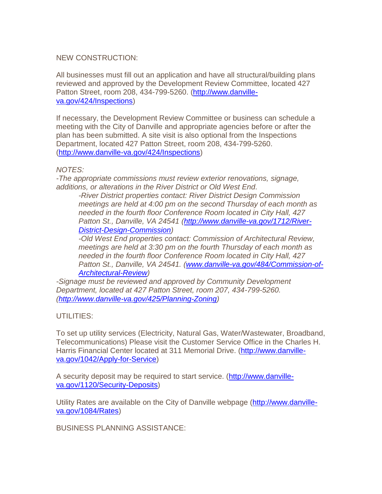## NEW CONSTRUCTION:

All businesses must fill out an application and have all structural/building plans reviewed and approved by the Development Review Committee, located 427 Patton Street, room 208, 434-799-5260. [\(http://www.danville](http://www.danville-va.gov/424/Inspections)[va.gov/424/Inspections\)](http://www.danville-va.gov/424/Inspections)

If necessary, the Development Review Committee or business can schedule a meeting with the City of Danville and appropriate agencies before or after the plan has been submitted. A site visit is also optional from the Inspections Department, located 427 Patton Street, room 208, 434-799-5260. [\(http://www.danville-va.gov/424/Inspections\)](http://www.danville-va.gov/424/Inspections)

#### *NOTES:*

*-The appropriate commissions must review exterior renovations, signage, additions, or alterations in the River District or Old West End.*

*-River District properties contact: River District Design Commission meetings are held at 4:00 pm on the second Thursday of each month as needed in the fourth floor Conference Room located in City Hall, 427 Patton St., Danville, VA 24541 [\(http://www.danville-va.gov/1712/River-](http://www.danville-va.gov/1712/River-District-Design-Commission)[District-Design-Commission\)](http://www.danville-va.gov/1712/River-District-Design-Commission)*

*-Old West End properties contact: Commission of Architectural Review, meetings are held at 3:30 pm on the fourth Thursday of each month as needed in the fourth floor Conference Room located in City Hall, 427 Patton St., Danville, VA 24541. [\(www.danville-va.gov/484/Commission-of-](http://www.danville-va.gov/484/Commission-of-Architectural-Review)[Architectural-Review\)](http://www.danville-va.gov/484/Commission-of-Architectural-Review)*

*-Signage must be reviewed and approved by Community Development Department, located at 427 Patton Street, room 207, 434-799-5260. [\(http://www.danville-va.gov/425/Planning-Zoning\)](http://www.danville-va.gov/425/Planning-Zoning)*

### UTILITIES:

To set up utility services (Electricity, Natural Gas, Water/Wastewater, Broadband, Telecommunications) Please visit the Customer Service Office in the Charles H. Harris Financial Center located at 311 Memorial Drive. [\(http://www.danville](http://www.danville-va.gov/1042/Apply-for-Service)[va.gov/1042/Apply-for-Service\)](http://www.danville-va.gov/1042/Apply-for-Service)

A security deposit may be required to start service. [\(http://www.danville](http://www.danville-va.gov/1120/Security-Deposits)[va.gov/1120/Security-Deposits\)](http://www.danville-va.gov/1120/Security-Deposits)

Utility Rates are available on the City of Danville webpage [\(http://www.danville](http://www.danville-va.gov/1084/Rates)[va.gov/1084/Rates\)](http://www.danville-va.gov/1084/Rates)

BUSINESS PLANNING ASSISTANCE: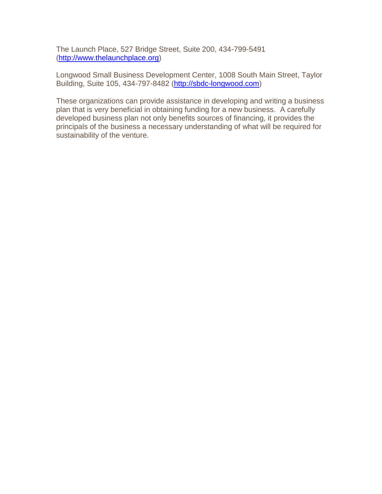The Launch Place, 527 Bridge Street, Suite 200, 434-799-5491 [\(http://www.thelaunchplace.org\)](http://www.thelaunchplace.org/)

Longwood Small Business Development Center, 1008 South Main Street, Taylor Building, Suite 105, 434-797-8482 [\(http://sbdc-longwood.com\)](http://sbdc-longwood.com/)

These organizations can provide assistance in developing and writing a business plan that is very beneficial in obtaining funding for a new business. A carefully developed business plan not only benefits sources of financing, it provides the principals of the business a necessary understanding of what will be required for sustainability of the venture.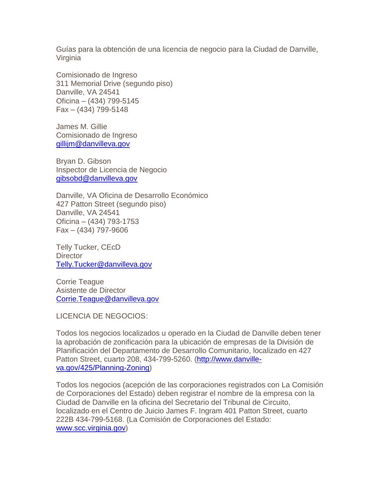Guías para la obtención de una licencia de negocio para la Ciudad de Danville, Virginia

Comisionado de Ingreso 311 Memorial Drive (segundo piso) Danville, VA 24541 Oficina – (434) 799-5145 Fax – (434) 799-5148

James M. Gillie Comisionado de Ingreso [gillijm@danvilleva.gov](mailto:gillijm@danvilleva.gov)

Bryan D. Gibson Inspector de Licencia de Negocio [gibsobd@danvilleva.gov](mailto:gibsobd@danvilleva.gov)

Danville, VA Oficina de Desarrollo Económico 427 Patton Street (segundo piso) Danville, VA 24541 Oficina – (434) 793-1753 Fax – (434) 797-9606

Telly Tucker, CEcD **Director** [Telly.Tucker@danvilleva.gov](mailto:Telly.Tucker@danvilleva.gov)

Corrie Teague Asistente de Director [Corrie.Teague@danvilleva.gov](mailto:Corrie.Teague@danvilleva.gov)

LICENCIA DE NEGOCIOS:

Todos los negocios localizados u operado en la Ciudad de Danville deben tener la aprobación de zonificación para la ubicación de empresas de la División de Planificación del Departamento de Desarrollo Comunitario, localizado en 427 Patton Street, cuarto 208, 434-799-5260. [\(http://www.danville](http://www.danville-va.gov/425/Planning-Zoning)[va.gov/425/Planning-Zoning\)](http://www.danville-va.gov/425/Planning-Zoning)

Todos los negocios (acepción de las corporaciones registrados con La Comisión de Corporaciones del Estado) deben registrar el nombre de la empresa con la Ciudad de Danville en la oficina del Secretario del Tribunal de Circuito, localizado en el Centro de Juicio James F. Ingram 401 Patton Street, cuarto 222B 434-799-5168. (La Comisión de Corporaciones del Estado: [www.scc.virginia.gov\)](http://www.scc.virginia.gov/)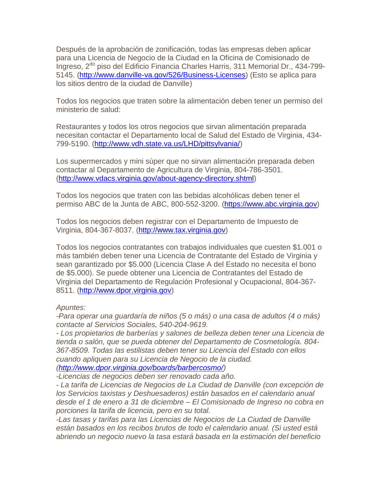Después de la aprobación de zonificación, todas las empresas deben aplicar para una Licencia de Negocio de la Ciudad en la Oficina de Comisionado de Ingreso, 2<sup>do</sup> piso del Edificio Financia Charles Harris, 311 Memorial Dr., 434-799-5145. [\(http://www.danville-va.gov/526/Business-Licenses\)](http://www.danville-va.gov/526/Business-Licenses) (Esto se aplica para los sitios dentro de la ciudad de Danville)

Todos los negocios que traten sobre la alimentación deben tener un permiso del ministerio de salud:

Restaurantes y todos los otros negocios que sirvan alimentación preparada necesitan contactar el Departamento local de Salud del Estado de Virginia, 434- 799-5190. [\(http://www.vdh.state.va.us/LHD/pittsylvania/\)](http://www.vdh.state.va.us/LHD/pittsylvania/)

Los supermercados y mini súper que no sirvan alimentación preparada deben contactar al Departamento de Agricultura de Virginia, 804-786-3501. [\(http://www.vdacs.virginia.gov/about-agency-directory.shtml\)](http://www.vdacs.virginia.gov/about-agency-directory.shtml)

Todos los negocios que traten con las bebidas alcohólicas deben tener el permiso ABC de la Junta de ABC, 800-552-3200. [\(https://www.abc.virginia.gov\)](https://www.abc.virginia.gov/)

Todos los negocios deben registrar con el Departamento de Impuesto de Virginia, 804-367-8037. [\(http://www.tax.virginia.gov\)](http://www.tax.virginia.gov/)

Todos los negocios contratantes con trabajos individuales que cuesten \$1.001 o más también deben tener una Licencia de Contratante del Estado de Virginia y sean garantizado por \$5.000 (Licencia Clase A del Estado no necesita el bono de \$5.000). Se puede obtener una Licencia de Contratantes del Estado de Virginia del Departamento de Regulación Profesional y Ocupacional, 804-367- 8511. [\(http://www.dpor.virginia.gov\)](http://www.dpor.virginia.gov/)

### *Apuntes:*

*-Para operar una guardaría de niños (5 o más) o una casa de adultos (4 o más) contacte al Servicios Sociales, 540-204-9619.*

*- Los propietarios de barberías y salones de belleza deben tener una Licencia de tienda o salón, que se pueda obtener del Departamento de Cosmetología. 804- 367-8509. Todas las estilistas deben tener su Licencia del Estado con ellos cuando apliquen para su Licencia de Negocio de la ciudad. [\(http://www.dpor.virginia.gov/boards/barbercosmo/\)](http://www.dpor.virginia.gov/boards/barbercosmo/)*

*-Licencias de negocios deben ser renovado cada año.* 

*- La tarifa de Licencias de Negocios de La Ciudad de Danville (con excepción de los Servicios taxistas y Deshuesaderos) están basados en el calendario anual desde el 1 de enero a 31 de diciembre – El Comisionado de Ingreso no cobra en porciones la tarifa de licencia, pero en su total.*

*-Las tasas y tarifas para las Licencias de Negocios de La Ciudad de Danville están basados en los recibos brutos de todo el calendario anual. (Si usted está abriendo un negocio nuevo la tasa estará basada en la estimación del beneficio*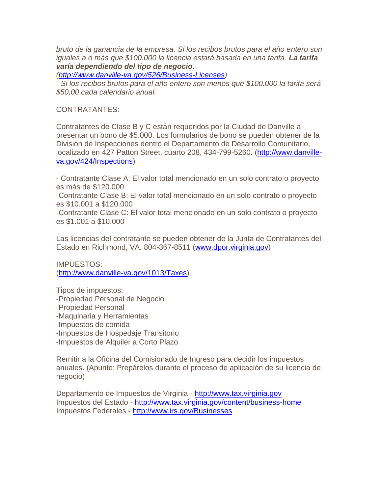*bruto de la ganancia de la empresa. Si los recibos brutos para el año entero son iguales a o más que \$100.000 la licencia estará basada en una tarifa. La tarifa varía dependiendo del tipo de negocio.* 

*[\(http://www.danville-va.gov/526/Business-Licenses\)](http://www.danville-va.gov/526/Business-Licenses)*

*- Si los recibos brutos para el año entero son menos que \$100.000 la tarifa será \$50,00 cada calendario anual.* 

#### CONTRATANTES:

Contratantes de Clase B y C están requeridos por la Ciudad de Danville a presentar un bono de \$5.000. Los formularios de bono se pueden obtener de la División de Inspecciones dentro el Departamento de Desarrollo Comunitario, localizado en 427 Patton Street, cuarto 208, 434-799-5260. [\(http://www.danville](http://www.danville-va.gov/424/Inspections)[va.gov/424/Inspections\)](http://www.danville-va.gov/424/Inspections)

- Contratante Clase A: El valor total mencionado en un solo contrato o proyecto es más de \$120.000

-Contratante Clase B: El valor total mencionado en un solo contrato o proyecto es \$10.001 a \$120.000

-Contratante Clase C: El valor total mencionado en un solo contrato o proyecto es \$1.001 a \$10.000

Las licencias del contratante se pueden obtener de la Junta de Contratantes del Estado en Richmond, VA. 804-367-8511 [\(www.dpor.virginia.gov\)](http://www.dpor.virginia.gov/)

IMPUESTOS: [\(http://www.danville-va.gov/1013/Taxes\)](http://www.danville-va.gov/1013/Taxes)

Tipos de impuestos: -Propiedad Personal de Negocio -Propiedad Personal -Maquinaria y Herramientas -Impuestos de comida -Impuestos de Hospedaje Transitorio -Impuestos de Alquiler a Corto Plazo

Remitir a la Oficina del Comisionado de Ingreso para decidir los impuestos anuales. (Apunte: Prepárelos durante el proceso de aplicación de su licencia de negocio)

Departamento de Impuestos de Virginia - [http://www.tax.virginia.gov](http://www.tax.virginia.gov/) Impuestos del Estado - <http://www.tax.virginia.gov/content/business-home> Impuestos Federales - <http://www.irs.gov/Businesses>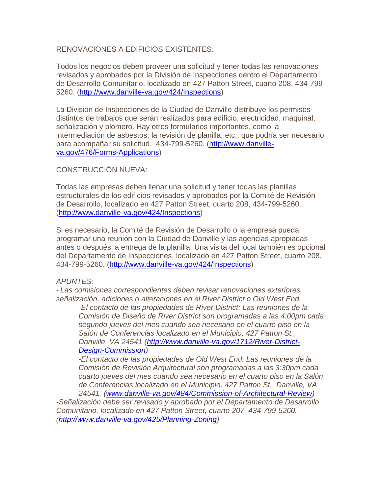RENOVACIONES A EDIFICIOS EXISTENTES:

Todos los negocios deben proveer una solicitud y tener todas las renovaciones revisados y aprobados por la División de Inspecciones dentro el Departamento de Desarrollo Comunitario, localizado en 427 Patton Street, cuarto 208, 434-799- 5260. [\(http://www.danville-va.gov/424/Inspections\)](http://www.danville-va.gov/424/Inspections)

La División de Inspecciones de la Ciudad de Danville distribuye los permisos distintos de trabajos que serán realizados para edificio, electricidad, maquinal, señalización y plomero. Hay otros formularios importantes, como la intermediación de asbestos, la revisión de planilla, etc., que podría ser necesario para acompañar su solicitud. 434-799-5260. [\(http://www.danville](http://www.danville-va.gov/476/Forms-Applications)[va.gov/476/Forms-Applications\)](http://www.danville-va.gov/476/Forms-Applications)

# CONSTRUCCIÓN NUEVA:

Todas las empresas deben llenar una solicitud y tener todas las planillas estructurales de los edificios revisados y aprobados por la Comité de Revisión de Desarrollo, localizado en 427 Patton Street, cuarto 208, 434-799-5260. [\(http://www.danville-va.gov/424/Inspections\)](http://www.danville-va.gov/424/Inspections)

Si es necesario, la Comité de Revisión de Desarrollo o la empresa pueda programar una reunión con la Ciudad de Danville y las agencias apropiadas antes o después la entrega de la planilla. Una visita del local también es opcional del Departamento de Inspecciones, localizado en 427 Patton Street, cuarto 208, 434-799-5260. [\(http://www.danville-va.gov/424/Inspections\)](http://www.danville-va.gov/424/Inspections)

### *APUNTES:*

*- Las comisiones correspondientes deben revisar renovaciones exteriores, señalización, adiciones o alteraciones en el River District o Old West End.*

*-El contacto de las propiedades de River District: Las reuniones de la Comisión de Diseño de River District son programadas a las 4:00pm cada segundo jueves del mes cuando sea necesario en el cuarto piso en la Salón de Conferencias localizado en el Municipio, 427 Patton St., Danville, VA 24541 [\(http://www.danville-va.gov/1712/River-District-](http://www.danville-va.gov/1712/River-District-Design-Commission)[Design-Commission\)](http://www.danville-va.gov/1712/River-District-Design-Commission)*

*-El contacto de las propiedades de Old West End: Las reuniones de la Comisión de Revisión Arquitectural son programadas a las 3:30pm cada cuarto jueves del mes cuando sea necesario en el cuarto piso en la Salón de Conferencias localizado en el Municipio, 427 Patton St., Danville, VA 24541. [\(www.danville-va.gov/484/Commission-of-Architectural-Review\)](http://www.danville-va.gov/484/Commission-of-Architectural-Review)*

*-Señalización debe ser revisado y aprobado por el Departamento de Desarrollo Comunitario, localizado en 427 Patton Street, cuarto 207, 434-799-5260. [\(http://www.danville-va.gov/425/Planning-Zoning\)](http://www.danville-va.gov/425/Planning-Zoning)*